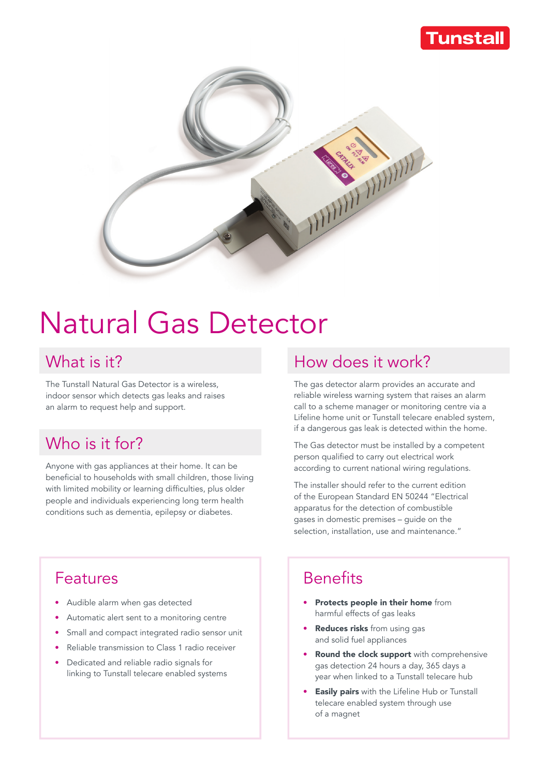#### **Tunstall**



# Natural Gas Detector

The Tunstall Natural Gas Detector is a wireless, indoor sensor which detects gas leaks and raises an alarm to request help and support.

## Who is it for?

Anyone with gas appliances at their home. It can be beneficial to households with small children, those living with limited mobility or learning difficulties, plus older people and individuals experiencing long term health conditions such as dementia, epilepsy or diabetes.

#### What is it? Move that is it? How does it work?

The gas detector alarm provides an accurate and reliable wireless warning system that raises an alarm call to a scheme manager or monitoring centre via a Lifeline home unit or Tunstall telecare enabled system, if a dangerous gas leak is detected within the home.

The Gas detector must be installed by a competent person qualified to carry out electrical work according to current national wiring regulations.

The installer should refer to the current edition of the European Standard EN 50244 "Electrical apparatus for the detection of combustible gases in domestic premises – guide on the selection, installation, use and maintenance."

#### Features

- Audible alarm when gas detected
- Automatic alert sent to a monitoring centre
- Small and compact integrated radio sensor unit
- Reliable transmission to Class 1 radio receiver
- Dedicated and reliable radio signals for linking to Tunstall telecare enabled systems

## **Benefits**

- Protects people in their home from harmful effects of gas leaks
- Reduces risks from using gas and solid fuel appliances
- **Round the clock support** with comprehensive gas detection 24 hours a day, 365 days a year when linked to a Tunstall telecare hub
- **Easily pairs** with the Lifeline Hub or Tunstall telecare enabled system through use of a magnet